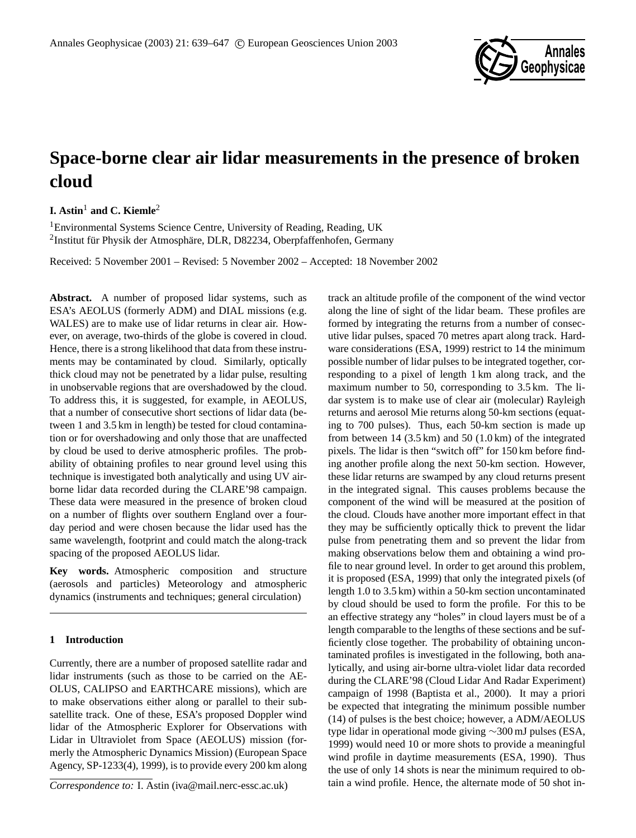

# **Space-borne clear air lidar measurements in the presence of broken cloud**

## **I.** Astin<sup>1</sup> and C. Kiemle<sup>2</sup>

<sup>1</sup>Environmental Systems Science Centre, University of Reading, Reading, UK <sup>2</sup>Institut für Physik der Atmosphäre, DLR, D82234, Oberpfaffenhofen, Germany

Received: 5 November 2001 – Revised: 5 November 2002 – Accepted: 18 November 2002

**Abstract.** A number of proposed lidar systems, such as ESA's AEOLUS (formerly ADM) and DIAL missions (e.g. WALES) are to make use of lidar returns in clear air. However, on average, two-thirds of the globe is covered in cloud. Hence, there is a strong likelihood that data from these instruments may be contaminated by cloud. Similarly, optically thick cloud may not be penetrated by a lidar pulse, resulting in unobservable regions that are overshadowed by the cloud. To address this, it is suggested, for example, in AEOLUS, that a number of consecutive short sections of lidar data (between 1 and 3.5 km in length) be tested for cloud contamination or for overshadowing and only those that are unaffected by cloud be used to derive atmospheric profiles. The probability of obtaining profiles to near ground level using this technique is investigated both analytically and using UV airborne lidar data recorded during the CLARE'98 campaign. These data were measured in the presence of broken cloud on a number of flights over southern England over a fourday period and were chosen because the lidar used has the same wavelength, footprint and could match the along-track spacing of the proposed AEOLUS lidar.

**Key words.** Atmospheric composition and structure (aerosols and particles) Meteorology and atmospheric dynamics (instruments and techniques; general circulation)

### **1 Introduction**

Currently, there are a number of proposed satellite radar and lidar instruments (such as those to be carried on the AE-OLUS, CALIPSO and EARTHCARE missions), which are to make observations either along or parallel to their subsatellite track. One of these, ESA's proposed Doppler wind lidar of the Atmospheric Explorer for Observations with Lidar in Ultraviolet from Space (AEOLUS) mission (formerly the Atmospheric Dynamics Mission) (European Space Agency, SP-1233(4), 1999), is to provide every 200 km along

*Correspondence to:* I. Astin (iva@mail.nerc-essc.ac.uk)

track an altitude profile of the component of the wind vector along the line of sight of the lidar beam. These profiles are formed by integrating the returns from a number of consecutive lidar pulses, spaced 70 metres apart along track. Hardware considerations (ESA, 1999) restrict to 14 the minimum possible number of lidar pulses to be integrated together, corresponding to a pixel of length 1 km along track, and the maximum number to 50, corresponding to 3.5 km. The lidar system is to make use of clear air (molecular) Rayleigh returns and aerosol Mie returns along 50-km sections (equating to 700 pulses). Thus, each 50-km section is made up from between  $14$  (3.5 km) and  $50$  (1.0 km) of the integrated pixels. The lidar is then "switch off" for 150 km before finding another profile along the next 50-km section. However, these lidar returns are swamped by any cloud returns present in the integrated signal. This causes problems because the component of the wind will be measured at the position of the cloud. Clouds have another more important effect in that they may be sufficiently optically thick to prevent the lidar pulse from penetrating them and so prevent the lidar from making observations below them and obtaining a wind profile to near ground level. In order to get around this problem, it is proposed (ESA, 1999) that only the integrated pixels (of length 1.0 to 3.5 km) within a 50-km section uncontaminated by cloud should be used to form the profile. For this to be an effective strategy any "holes" in cloud layers must be of a length comparable to the lengths of these sections and be sufficiently close together. The probability of obtaining uncontaminated profiles is investigated in the following, both analytically, and using air-borne ultra-violet lidar data recorded during the CLARE'98 (Cloud Lidar And Radar Experiment) campaign of 1998 (Baptista et al., 2000). It may a priori be expected that integrating the minimum possible number (14) of pulses is the best choice; however, a ADM/AEOLUS type lidar in operational mode giving ∼300 mJ pulses (ESA, 1999) would need 10 or more shots to provide a meaningful wind profile in daytime measurements (ESA, 1990). Thus the use of only 14 shots is near the minimum required to obtain a wind profile. Hence, the alternate mode of 50 shot in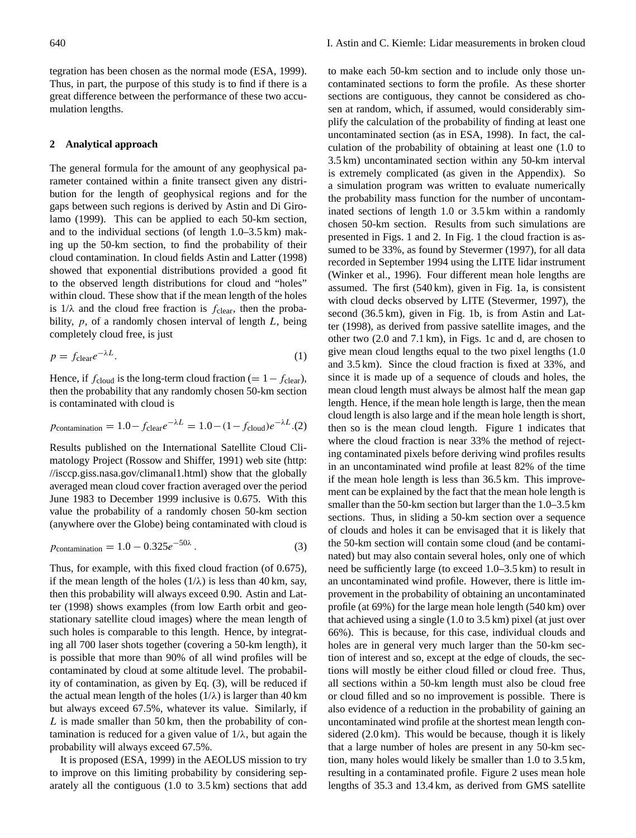tegration has been chosen as the normal mode (ESA, 1999). Thus, in part, the purpose of this study is to find if there is a great difference between the performance of these two accumulation lengths.

#### **2 Analytical approach**

The general formula for the amount of any geophysical parameter contained within a finite transect given any distribution for the length of geophysical regions and for the gaps between such regions is derived by Astin and Di Girolamo (1999). This can be applied to each 50-km section, and to the individual sections (of length 1.0–3.5 km) making up the 50-km section, to find the probability of their cloud contamination. In cloud fields Astin and Latter (1998) showed that exponential distributions provided a good fit to the observed length distributions for cloud and "holes" within cloud. These show that if the mean length of the holes is  $1/\lambda$  and the cloud free fraction is  $f_{\text{clear}}$ , then the probability,  $p$ , of a randomly chosen interval of length  $L$ , being completely cloud free, is just

$$
p = f_{\text{clear}} e^{-\lambda L}.
$$
 (1)

Hence, if  $f_{\text{cloud}}$  is the long-term cloud fraction (=  $1 - f_{\text{clear}}$ ), then the probability that any randomly chosen 50-km section is contaminated with cloud is

$$
p_{\text{contamination}} = 1.0 - f_{\text{clear}} e^{-\lambda L} = 1.0 - (1 - f_{\text{cloud}}) e^{-\lambda L} . (2)
$$

Results published on the International Satellite Cloud Climatology Project (Rossow and Shiffer, 1991) web site (http: //isccp.giss.nasa.gov/climanal1.html) show that the globally averaged mean cloud cover fraction averaged over the period June 1983 to December 1999 inclusive is 0.675. With this value the probability of a randomly chosen 50-km section (anywhere over the Globe) being contaminated with cloud is

$$
p_{\text{contamination}} = 1.0 - 0.325e^{-50\lambda} \,. \tag{3}
$$

Thus, for example, with this fixed cloud fraction (of 0.675), if the mean length of the holes  $(1/\lambda)$  is less than 40 km, say, then this probability will always exceed 0.90. Astin and Latter (1998) shows examples (from low Earth orbit and geostationary satellite cloud images) where the mean length of such holes is comparable to this length. Hence, by integrating all 700 laser shots together (covering a 50-km length), it is possible that more than 90% of all wind profiles will be contaminated by cloud at some altitude level. The probability of contamination, as given by Eq. (3), will be reduced if the actual mean length of the holes  $(1/\lambda)$  is larger than 40 km but always exceed 67.5%, whatever its value. Similarly, if  $L$  is made smaller than 50 km, then the probability of contamination is reduced for a given value of  $1/\lambda$ , but again the probability will always exceed 67.5%.

It is proposed (ESA, 1999) in the AEOLUS mission to try to improve on this limiting probability by considering separately all the contiguous (1.0 to 3.5 km) sections that add to make each 50-km section and to include only those uncontaminated sections to form the profile. As these shorter sections are contiguous, they cannot be considered as chosen at random, which, if assumed, would considerably simplify the calculation of the probability of finding at least one uncontaminated section (as in ESA, 1998). In fact, the calculation of the probability of obtaining at least one (1.0 to 3.5 km) uncontaminated section within any 50-km interval is extremely complicated (as given in the Appendix). So a simulation program was written to evaluate numerically the probability mass function for the number of uncontaminated sections of length 1.0 or 3.5 km within a randomly chosen 50-km section. Results from such simulations are presented in Figs. 1 and 2. In Fig. 1 the cloud fraction is assumed to be 33%, as found by Stevermer (1997), for all data recorded in September 1994 using the LITE lidar instrument (Winker et al., 1996). Four different mean hole lengths are assumed. The first (540 km), given in Fig. 1a, is consistent with cloud decks observed by LITE (Stevermer, 1997), the second (36.5 km), given in Fig. 1b, is from Astin and Latter (1998), as derived from passive satellite images, and the other two (2.0 and 7.1 km), in Figs. 1c and d, are chosen to give mean cloud lengths equal to the two pixel lengths (1.0 and 3.5 km). Since the cloud fraction is fixed at 33%, and since it is made up of a sequence of clouds and holes, the mean cloud length must always be almost half the mean gap length. Hence, if the mean hole length is large, then the mean cloud length is also large and if the mean hole length is short, then so is the mean cloud length. Figure 1 indicates that where the cloud fraction is near 33% the method of rejecting contaminated pixels before deriving wind profiles results in an uncontaminated wind profile at least 82% of the time if the mean hole length is less than 36.5 km. This improvement can be explained by the fact that the mean hole length is smaller than the 50-km section but larger than the 1.0–3.5 km sections. Thus, in sliding a 50-km section over a sequence of clouds and holes it can be envisaged that it is likely that the 50-km section will contain some cloud (and be contaminated) but may also contain several holes, only one of which need be sufficiently large (to exceed 1.0–3.5 km) to result in an uncontaminated wind profile. However, there is little improvement in the probability of obtaining an uncontaminated profile (at 69%) for the large mean hole length (540 km) over that achieved using a single (1.0 to 3.5 km) pixel (at just over 66%). This is because, for this case, individual clouds and holes are in general very much larger than the 50-km section of interest and so, except at the edge of clouds, the sections will mostly be either cloud filled or cloud free. Thus, all sections within a 50-km length must also be cloud free or cloud filled and so no improvement is possible. There is also evidence of a reduction in the probability of gaining an uncontaminated wind profile at the shortest mean length considered (2.0 km). This would be because, though it is likely that a large number of holes are present in any 50-km section, many holes would likely be smaller than 1.0 to 3.5 km, resulting in a contaminated profile. Figure 2 uses mean hole lengths of 35.3 and 13.4 km, as derived from GMS satellite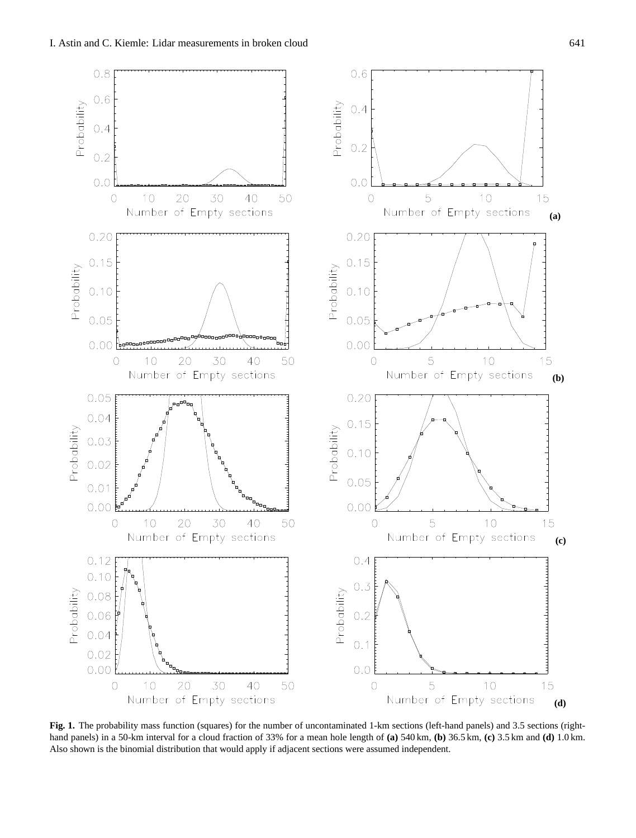

**Fig. 1.** The probability mass function (squares) for the number of uncontaminated 1-km sections (left-hand panels) and 3.5 sections (righthand panels) in a 50-km interval for a cloud fraction of 33% for a mean hole length of **(a)** 540 km, **(b)** 36.5 km, **(c)** 3.5 km and **(d)** 1.0 km. Also shown is the binomial distribution that would apply if adjacent sections were assumed independent.

**(b)**

**(c)**

**(d)**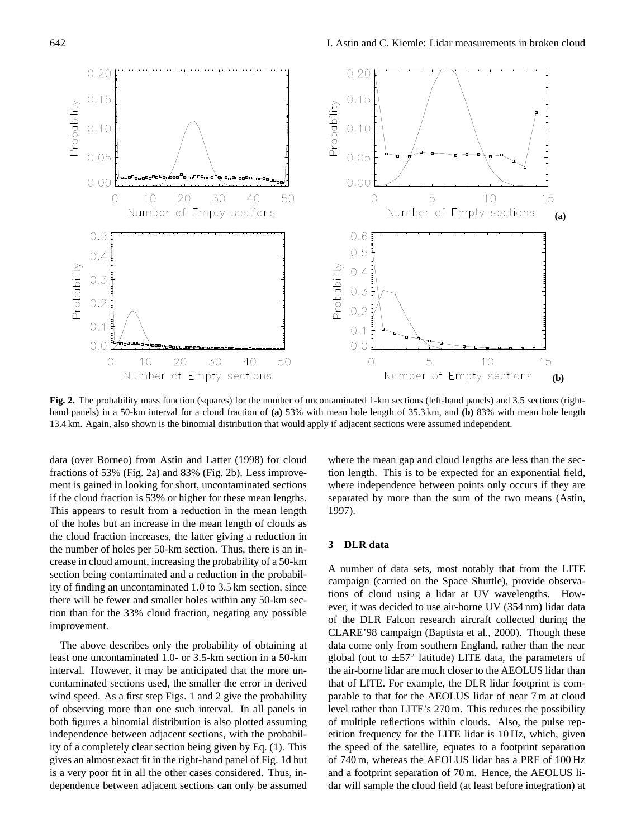

**Fig. 2.** The probability mass function (squares) for the number of uncontaminated 1-km sections (left-hand panels) and 3.5 sections (righthand panels) in a 50-km interval for a cloud fraction of **(a)** 53% with mean hole length of 35.3 km, and **(b)** 83% with mean hole length 13.4 km. Again, also shown is the binomial distribution that would apply if adjacent sections were assumed independent.

data (over Borneo) from Astin and Latter (1998) for cloud fractions of 53% (Fig. 2a) and 83% (Fig. 2b). Less improvement is gained in looking for short, uncontaminated sections if the cloud fraction is 53% or higher for these mean lengths. This appears to result from a reduction in the mean length of the holes but an increase in the mean length of clouds as the cloud fraction increases, the latter giving a reduction in the number of holes per 50-km section. Thus, there is an increase in cloud amount, increasing the probability of a 50-km section being contaminated and a reduction in the probability of finding an uncontaminated 1.0 to 3.5 km section, since there will be fewer and smaller holes within any 50-km section than for the 33% cloud fraction, negating any possible improvement.

The above describes only the probability of obtaining at least one uncontaminated 1.0- or 3.5-km section in a 50-km interval. However, it may be anticipated that the more uncontaminated sections used, the smaller the error in derived wind speed. As a first step Figs. 1 and 2 give the probability of observing more than one such interval. In all panels in both figures a binomial distribution is also plotted assuming independence between adjacent sections, with the probability of a completely clear section being given by Eq. (1). This gives an almost exact fit in the right-hand panel of Fig. 1d but is a very poor fit in all the other cases considered. Thus, independence between adjacent sections can only be assumed

where the mean gap and cloud lengths are less than the section length. This is to be expected for an exponential field, where independence between points only occurs if they are separated by more than the sum of the two means (Astin, 1997).

#### **3 DLR data**

A number of data sets, most notably that from the LITE campaign (carried on the Space Shuttle), provide observations of cloud using a lidar at UV wavelengths. However, it was decided to use air-borne UV (354 nm) lidar data of the DLR Falcon research aircraft collected during the CLARE'98 campaign (Baptista et al., 2000). Though these data come only from southern England, rather than the near global (out to ±57◦ latitude) LITE data, the parameters of the air-borne lidar are much closer to the AEOLUS lidar than that of LITE. For example, the DLR lidar footprint is comparable to that for the AEOLUS lidar of near 7 m at cloud level rather than LITE's 270 m. This reduces the possibility of multiple reflections within clouds. Also, the pulse repetition frequency for the LITE lidar is 10 Hz, which, given the speed of the satellite, equates to a footprint separation of 740 m, whereas the AEOLUS lidar has a PRF of 100 Hz and a footprint separation of 70 m. Hence, the AEOLUS lidar will sample the cloud field (at least before integration) at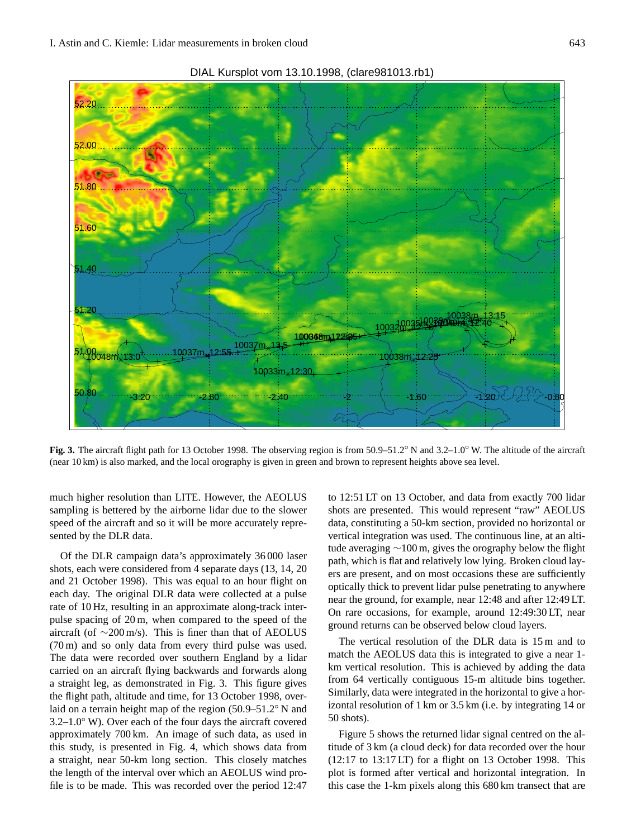

**Fig. 3.** The aircraft flight path for 13 October 1998. The observing region is from 50.9–51.2◦ N and 3.2–1.0◦ W. The altitude of the aircraft (near 10 km) is also marked, and the local orography is given in green and brown to represent heights above sea level.

much higher resolution than LITE. However, the AEOLUS sampling is bettered by the airborne lidar due to the slower speed of the aircraft and so it will be more accurately represented by the DLR data.

Of the DLR campaign data's approximately 36 000 laser shots, each were considered from 4 separate days (13, 14, 20 and 21 October 1998). This was equal to an hour flight on each day. The original DLR data were collected at a pulse rate of 10 Hz, resulting in an approximate along-track interpulse spacing of 20 m, when compared to the speed of the aircraft (of ∼200 m/s). This is finer than that of AEOLUS (70 m) and so only data from every third pulse was used. The data were recorded over southern England by a lidar carried on an aircraft flying backwards and forwards along a straight leg, as demonstrated in Fig. 3. This figure gives the flight path, altitude and time, for 13 October 1998, overlaid on a terrain height map of the region (50.9–51.2◦ N and 3.2–1.0◦ W). Over each of the four days the aircraft covered approximately 700 km. An image of such data, as used in this study, is presented in Fig. 4, which shows data from a straight, near 50-km long section. This closely matches the length of the interval over which an AEOLUS wind profile is to be made. This was recorded over the period 12:47 to 12:51 LT on 13 October, and data from exactly 700 lidar shots are presented. This would represent "raw" AEOLUS data, constituting a 50-km section, provided no horizontal or vertical integration was used. The continuous line, at an altitude averaging ∼100 m, gives the orography below the flight path, which is flat and relatively low lying. Broken cloud layers are present, and on most occasions these are sufficiently optically thick to prevent lidar pulse penetrating to anywhere near the ground, for example, near 12:48 and after 12:49 LT. On rare occasions, for example, around 12:49:30 LT, near ground returns can be observed below cloud layers.

The vertical resolution of the DLR data is 15 m and to match the AEOLUS data this is integrated to give a near 1 km vertical resolution. This is achieved by adding the data from 64 vertically contiguous 15-m altitude bins together. Similarly, data were integrated in the horizontal to give a horizontal resolution of 1 km or 3.5 km (i.e. by integrating 14 or 50 shots).

Figure 5 shows the returned lidar signal centred on the altitude of 3 km (a cloud deck) for data recorded over the hour (12:17 to 13:17 LT) for a flight on 13 October 1998. This plot is formed after vertical and horizontal integration. In this case the 1-km pixels along this 680 km transect that are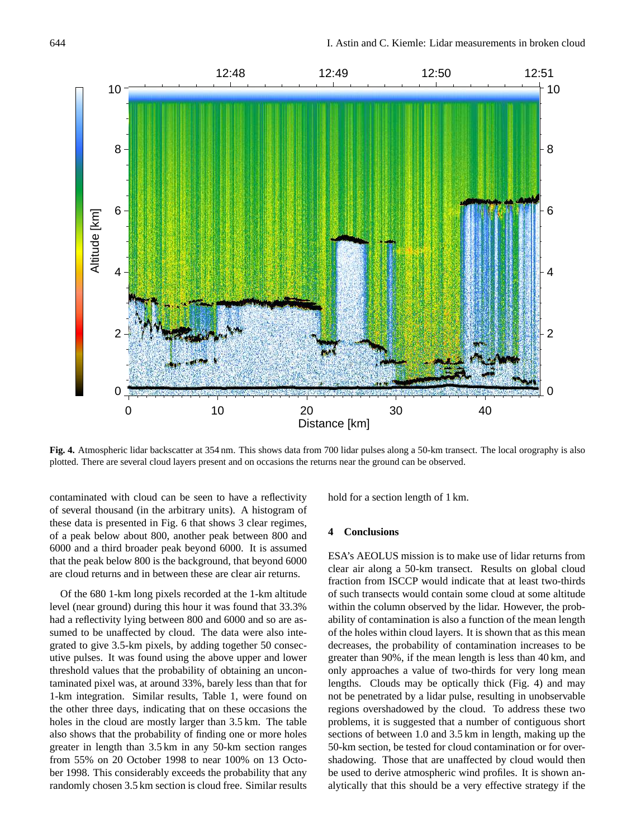

**Fig. 4.** Atmospheric lidar backscatter at 354 nm. This shows data from 700 lidar pulses along a 50-km transect. The local orography is also plotted. There are several cloud layers present and on occasions the returns near the ground can be observed.

contaminated with cloud can be seen to have a reflectivity of several thousand (in the arbitrary units). A histogram of these data is presented in Fig. 6 that shows 3 clear regimes, of a peak below about 800, another peak between 800 and 6000 and a third broader peak beyond 6000. It is assumed that the peak below 800 is the background, that beyond 6000 are cloud returns and in between these are clear air returns.

Of the 680 1-km long pixels recorded at the 1-km altitude level (near ground) during this hour it was found that 33.3% had a reflectivity lying between 800 and 6000 and so are assumed to be unaffected by cloud. The data were also integrated to give 3.5-km pixels, by adding together 50 consecutive pulses. It was found using the above upper and lower threshold values that the probability of obtaining an uncontaminated pixel was, at around 33%, barely less than that for 1-km integration. Similar results, Table 1, were found on the other three days, indicating that on these occasions the holes in the cloud are mostly larger than 3.5 km. The table also shows that the probability of finding one or more holes greater in length than 3.5 km in any 50-km section ranges from 55% on 20 October 1998 to near 100% on 13 October 1998. This considerably exceeds the probability that any randomly chosen 3.5 km section is cloud free. Similar results hold for a section length of 1 km.

#### **4 Conclusions**

ESA's AEOLUS mission is to make use of lidar returns from clear air along a 50-km transect. Results on global cloud fraction from ISCCP would indicate that at least two-thirds of such transects would contain some cloud at some altitude within the column observed by the lidar. However, the probability of contamination is also a function of the mean length of the holes within cloud layers. It is shown that as this mean decreases, the probability of contamination increases to be greater than 90%, if the mean length is less than 40 km, and only approaches a value of two-thirds for very long mean lengths. Clouds may be optically thick (Fig. 4) and may not be penetrated by a lidar pulse, resulting in unobservable regions overshadowed by the cloud. To address these two problems, it is suggested that a number of contiguous short sections of between 1.0 and 3.5 km in length, making up the 50-km section, be tested for cloud contamination or for overshadowing. Those that are unaffected by cloud would then be used to derive atmospheric wind profiles. It is shown analytically that this should be a very effective strategy if the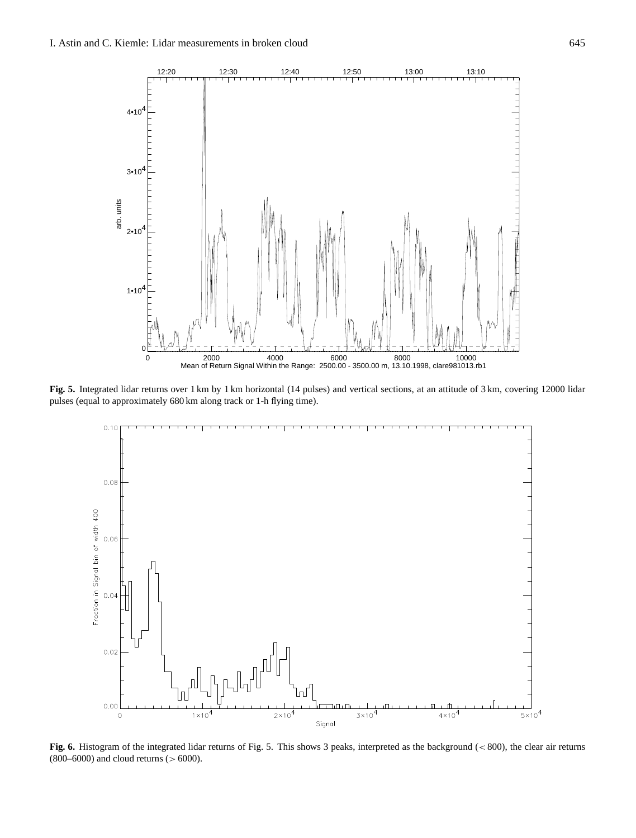

**Fig. 5.** Integrated lidar returns over 1 km by 1 km horizontal (14 pulses) and vertical sections, at an attitude of 3 km, covering 12000 lidar pulses (equal to approximately 680 km along track or 1-h flying time).



**Fig. 6.** Histogram of the integrated lidar returns of Fig. 5. This shows 3 peaks, interpreted as the background (< 800), the clear air returns  $(800–6000)$  and cloud returns  $(> 6000)$ .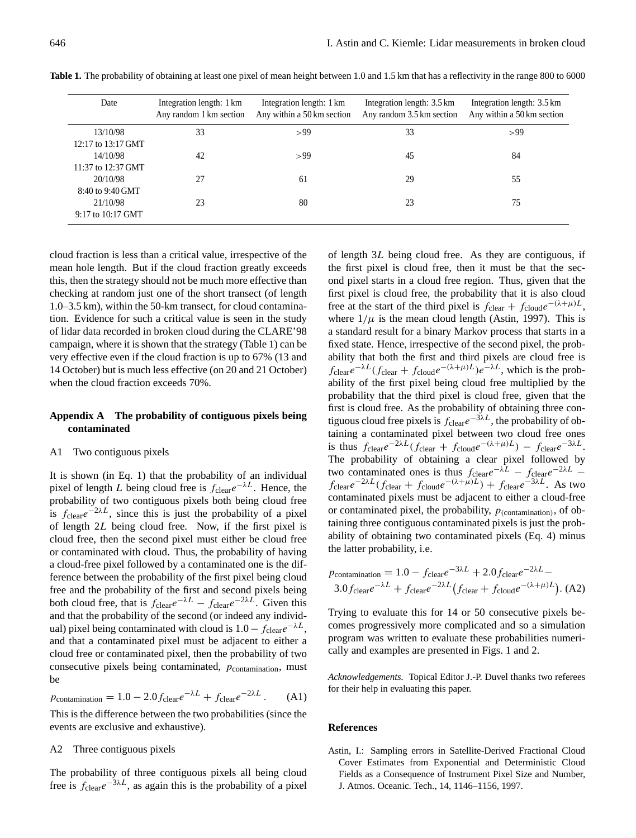| Date                           | Integration length: 1 km<br>Any random 1 km section | Integration length: 1 km<br>Any within a 50 km section | Integration length: 3.5 km<br>Any random 3.5 km section | Integration length: 3.5 km<br>Any within a 50 km section |
|--------------------------------|-----------------------------------------------------|--------------------------------------------------------|---------------------------------------------------------|----------------------------------------------------------|
| 13/10/98<br>12:17 to 13:17 GMT | 33                                                  | >99                                                    | 33                                                      | >99                                                      |
| 14/10/98<br>11:37 to 12:37 GMT | 42                                                  | >99                                                    | 45                                                      | 84                                                       |
| 20/10/98<br>8:40 to 9:40 GMT   | 27                                                  | 61                                                     | 29                                                      | 55                                                       |
| 21/10/98<br>9:17 to 10:17 GMT  | 23                                                  | 80                                                     | 23                                                      | 75                                                       |

**Table 1.** The probability of obtaining at least one pixel of mean height between 1.0 and 1.5 km that has a reflectivity in the range 800 to 6000

cloud fraction is less than a critical value, irrespective of the mean hole length. But if the cloud fraction greatly exceeds this, then the strategy should not be much more effective than checking at random just one of the short transect (of length 1.0–3.5 km), within the 50-km transect, for cloud contamination. Evidence for such a critical value is seen in the study of lidar data recorded in broken cloud during the CLARE'98 campaign, where it is shown that the strategy (Table 1) can be very effective even if the cloud fraction is up to 67% (13 and 14 October) but is much less effective (on 20 and 21 October) when the cloud fraction exceeds 70%.

## **Appendix A The probability of contiguous pixels being contaminated**

#### A1 Two contiguous pixels

It is shown (in Eq. 1) that the probability of an individual pixel of length L being cloud free is  $f_{\text{clear}}e^{-\lambda L}$ . Hence, the probability of two contiguous pixels both being cloud free is  $f_{\text{clear}}e^{-2\lambda L}$ , since this is just the probability of a pixel of length 2L being cloud free. Now, if the first pixel is cloud free, then the second pixel must either be cloud free or contaminated with cloud. Thus, the probability of having a cloud-free pixel followed by a contaminated one is the difference between the probability of the first pixel being cloud free and the probability of the first and second pixels being both cloud free, that is  $f_{\text{clear}}e^{-\lambda L} - f_{\text{clear}}e^{-2\lambda L}$ . Given this and that the probability of the second (or indeed any individual) pixel being contaminated with cloud is  $1.0 - f_{\text{clear}}e^{-\lambda L}$ , and that a contaminated pixel must be adjacent to either a cloud free or contaminated pixel, then the probability of two consecutive pixels being contaminated,  $p_{\text{contamination}}$ , must be

$$
p_{\text{contamination}} = 1.0 - 2.0 f_{\text{clear}} e^{-\lambda L} + f_{\text{clear}} e^{-2\lambda L} \,. \tag{A1}
$$

This is the difference between the two probabilities (since the events are exclusive and exhaustive).

#### A2 Three contiguous pixels

The probability of three contiguous pixels all being cloud free is  $f_{\text{clear}}e^{-3\lambda L}$ , as again this is the probability of a pixel

of length 3L being cloud free. As they are contiguous, if the first pixel is cloud free, then it must be that the second pixel starts in a cloud free region. Thus, given that the first pixel is cloud free, the probability that it is also cloud free at the start of the third pixel is  $f_{\text{clear}} + f_{\text{cloud}}e^{-(\lambda + \mu)L}$ , where  $1/\mu$  is the mean cloud length (Astin, 1997). This is a standard result for a binary Markov process that starts in a fixed state. Hence, irrespective of the second pixel, the probability that both the first and third pixels are cloud free is  $f_{\text{clear}}e^{-\lambda L}(f_{\text{clear}}+f_{\text{cloud}}e^{-(\lambda+\mu)L})e^{-\lambda L}$ , which is the probability of the first pixel being cloud free multiplied by the probability that the third pixel is cloud free, given that the first is cloud free. As the probability of obtaining three contiguous cloud free pixels is  $f_{\text{clear}}e^{-3\lambda L}$ , the probability of obtaining a contaminated pixel between two cloud free ones is thus  $f_{\text{clear}}e^{-2\lambda L}(f_{\text{clear}} + f_{\text{cloud}}e^{-(\lambda+\mu)L}) - f_{\text{clear}}e^{-3\lambda L}$ . The probability of obtaining a clear pixel followed by two contaminated ones is thus  $f_{\text{clear}}e^{-\lambda L} - f_{\text{clear}}e^{-2\lambda L}$  $f_{\text{clear}}e^{-2\lambda L}(f_{\text{clear}}+f_{\text{cloud}}e^{-(\lambda+\mu)L})+f_{\text{clear}}e^{-3\lambda L}$ . As two contaminated pixels must be adjacent to either a cloud-free or contaminated pixel, the probability,  $p_{(contamination)}$ , of obtaining three contiguous contaminated pixels is just the probability of obtaining two contaminated pixels (Eq. 4) minus the latter probability, i.e.

$$
p_{\text{contamination}} = 1.0 - f_{\text{clear}}e^{-3\lambda L} + 2.0f_{\text{clear}}e^{-2\lambda L} - 3.0f_{\text{clear}}e^{-\lambda L} + f_{\text{clear}}e^{-2\lambda L}(f_{\text{clear}} + f_{\text{cloud}}e^{-(\lambda + \mu)L}). \text{ (A2)}
$$

Trying to evaluate this for 14 or 50 consecutive pixels becomes progressively more complicated and so a simulation program was written to evaluate these probabilities numerically and examples are presented in Figs. 1 and 2.

*Acknowledgements.* Topical Editor J.-P. Duvel thanks two referees for their help in evaluating this paper.

#### **References**

Astin, I.: Sampling errors in Satellite-Derived Fractional Cloud Cover Estimates from Exponential and Deterministic Cloud Fields as a Consequence of Instrument Pixel Size and Number, J. Atmos. Oceanic. Tech., 14, 1146–1156, 1997.